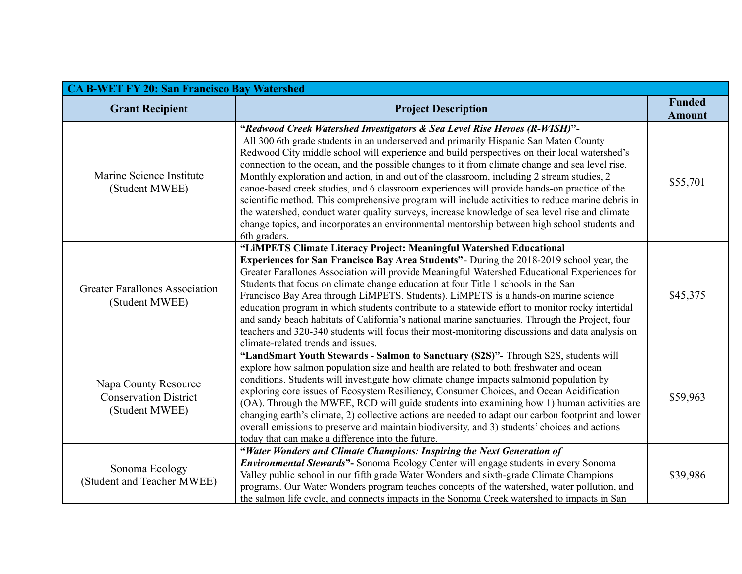| <b>CA B-WET FY 20: San Francisco Bay Watershed</b>                     |                                                                                                                                                                                                                                                                                                                                                                                                                                                                                                                                                                                                                                                                                                                                                                                                                                                                                          |                                |  |
|------------------------------------------------------------------------|------------------------------------------------------------------------------------------------------------------------------------------------------------------------------------------------------------------------------------------------------------------------------------------------------------------------------------------------------------------------------------------------------------------------------------------------------------------------------------------------------------------------------------------------------------------------------------------------------------------------------------------------------------------------------------------------------------------------------------------------------------------------------------------------------------------------------------------------------------------------------------------|--------------------------------|--|
| <b>Grant Recipient</b>                                                 | <b>Project Description</b>                                                                                                                                                                                                                                                                                                                                                                                                                                                                                                                                                                                                                                                                                                                                                                                                                                                               | <b>Funded</b><br><b>Amount</b> |  |
| Marine Science Institute<br>(Student MWEE)                             | "Redwood Creek Watershed Investigators & Sea Level Rise Heroes (R-WISH)"-<br>All 300 6th grade students in an underserved and primarily Hispanic San Mateo County<br>Redwood City middle school will experience and build perspectives on their local watershed's<br>connection to the ocean, and the possible changes to it from climate change and sea level rise.<br>Monthly exploration and action, in and out of the classroom, including 2 stream studies, 2<br>canoe-based creek studies, and 6 classroom experiences will provide hands-on practice of the<br>scientific method. This comprehensive program will include activities to reduce marine debris in<br>the watershed, conduct water quality surveys, increase knowledge of sea level rise and climate<br>change topics, and incorporates an environmental mentorship between high school students and<br>6th graders. | \$55,701                       |  |
| <b>Greater Farallones Association</b><br>(Student MWEE)                | "LIMPETS Climate Literacy Project: Meaningful Watershed Educational<br>Experiences for San Francisco Bay Area Students" - During the 2018-2019 school year, the<br>Greater Farallones Association will provide Meaningful Watershed Educational Experiences for<br>Students that focus on climate change education at four Title 1 schools in the San<br>Francisco Bay Area through LiMPETS. Students). LiMPETS is a hands-on marine science<br>education program in which students contribute to a statewide effort to monitor rocky intertidal<br>and sandy beach habitats of California's national marine sanctuaries. Through the Project, four<br>teachers and 320-340 students will focus their most-monitoring discussions and data analysis on<br>climate-related trends and issues.                                                                                             | \$45,375                       |  |
| Napa County Resource<br><b>Conservation District</b><br>(Student MWEE) | "LandSmart Youth Stewards - Salmon to Sanctuary (S2S)"- Through S2S, students will<br>explore how salmon population size and health are related to both freshwater and ocean<br>conditions. Students will investigate how climate change impacts salmonid population by<br>exploring core issues of Ecosystem Resiliency, Consumer Choices, and Ocean Acidification<br>(OA). Through the MWEE, RCD will guide students into examining how 1) human activities are<br>changing earth's climate, 2) collective actions are needed to adapt our carbon footprint and lower<br>overall emissions to preserve and maintain biodiversity, and 3) students' choices and actions<br>today that can make a difference into the future.                                                                                                                                                            | \$59,963                       |  |
| Sonoma Ecology<br>(Student and Teacher MWEE)                           | "Water Wonders and Climate Champions: Inspiring the Next Generation of<br><b>Environmental Stewards"</b> - Sonoma Ecology Center will engage students in every Sonoma<br>Valley public school in our fifth grade Water Wonders and sixth-grade Climate Champions<br>programs. Our Water Wonders program teaches concepts of the watershed, water pollution, and<br>the salmon life cycle, and connects impacts in the Sonoma Creek watershed to impacts in San                                                                                                                                                                                                                                                                                                                                                                                                                           | \$39,986                       |  |